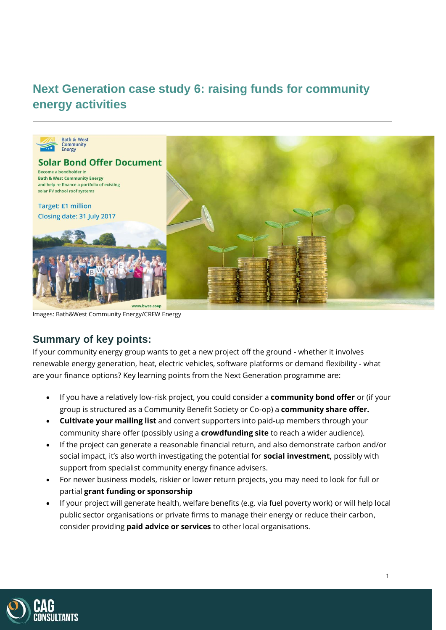# **Next Generation case study 6: raising funds for community energy activities**



Images: Bath&West Community Energy/CREW Energy

## **Summary of key points:**

If your community energy group wants to get a new project off the ground - whether it involves renewable energy generation, heat, electric vehicles, software platforms or demand flexibility - what are your finance options? Key learning points from the Next Generation programme are:

- If you have a relatively low-risk project, you could consider a **community bond offer** or (if your group is structured as a Community Benefit Society or Co-op) a **community share offer.**
- **Cultivate your mailing list** and convert supporters into paid-up members through your community share offer (possibly using a **crowdfunding site** to reach a wider audience).
- If the project can generate a reasonable financial return, and also demonstrate carbon and/or social impact, it's also worth investigating the potential for **social investment,** possibly with support from specialist community energy finance advisers.
- For newer business models, riskier or lower return projects, you may need to look for full or partial **grant funding or sponsorship**
- If your project will generate health, welfare benefits (e.g. via fuel poverty work) or will help local public sector organisations or private firms to manage their energy or reduce their carbon, consider providing **paid advice or services** to other local organisations.

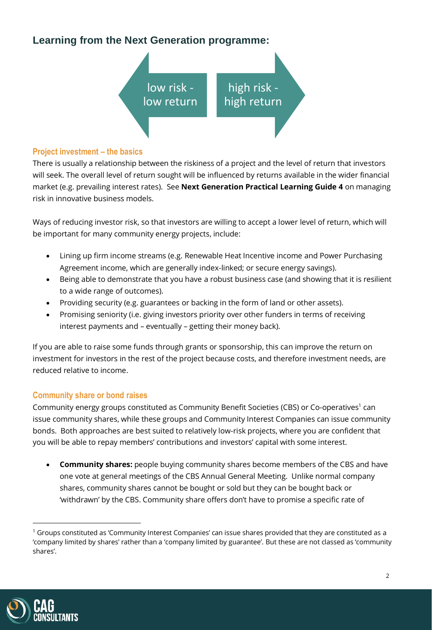# **Learning from the Next Generation programme:**



#### **Project investment – the basics**

There is usually a relationship between the riskiness of a project and the level of return that investors will seek. The overall level of return sought will be influenced by returns available in the wider financial market (e.g. prevailing interest rates). See **Next Generation Practical Learning Guide 4** on managing risk in innovative business models.

Ways of reducing investor risk, so that investors are willing to accept a lower level of return, which will be important for many community energy projects, include:

- Lining up firm income streams (e.g. Renewable Heat Incentive income and Power Purchasing Agreement income, which are generally index-linked; or secure energy savings).
- Being able to demonstrate that you have a robust business case (and showing that it is resilient to a wide range of outcomes).
- Providing security (e.g. guarantees or backing in the form of land or other assets).
- Promising seniority (i.e. giving investors priority over other funders in terms of receiving interest payments and – eventually – getting their money back).

If you are able to raise some funds through grants or sponsorship, this can improve the return on investment for investors in the rest of the project because costs, and therefore investment needs, are reduced relative to income.

### **Community share or bond raises**

Community energy groups constituted as Community Benefit Societies (CBS) or Co-operatives<sup>1</sup> can issue community shares, while these groups and Community Interest Companies can issue community bonds. Both approaches are best suited to relatively low-risk projects, where you are confident that you will be able to repay members' contributions and investors' capital with some interest.

• **Community shares:** people buying community shares become members of the CBS and have one vote at general meetings of the CBS Annual General Meeting. Unlike normal company shares, community shares cannot be bought or sold but they can be bought back or 'withdrawn' by the CBS. Community share offers don't have to promise a specific rate of



 $1$  Groups constituted as 'Community Interest Companies' can issue shares provided that they are constituted as a 'company limited by shares' rather than a 'company limited by guarantee'. But these are not classed as 'community shares'.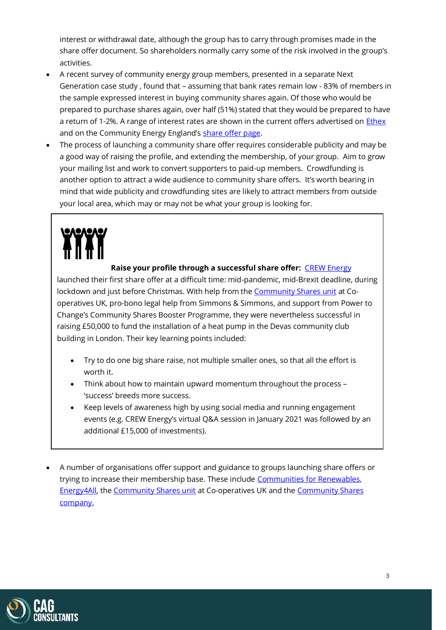interest or withdrawal date, although the group has to carry through promises made in the share offer document. So shareholders normally carry some of the risk involved in the group's activities.

- A recent survey of community energy group members, presented in a separate Next Generation case study , found that – assuming that bank rates remain low - 83% of members in the sample expressed interest in buying community shares again. Of those who would be prepared to purchase shares again, over half (51%) stated that they would be prepared to have a return of 1-2%. A range of interest rates are shown in the current offers advertised on [Ethex](https://www.ethex.org.uk/raise) and on the Community Energy England's [share offer page.](https://communityenergyengland.org/pages/share-offers)
- The process of launching a community share offer requires considerable publicity and may be a good way of raising the profile, and extending the membership, of your group. Aim to grow your mailing list and work to convert supporters to paid-up members. Crowdfunding is another option to attract a wide audience to community share offers. It's worth bearing in mind that wide publicity and crowdfunding sites are likely to attract members from outside your local area, which may or may not be what your group is looking for.

#### **Raise your profile through a successful share offer:** [CREW Energy](https://www.crewenergy.london/)

launched their first share offer at a difficult time: mid-pandemic, mid-Brexit deadline, during lockdown and just before Christmas. With help from the [Community Shares unit](https://www.uk.coop/start-new-co-op/support/community-shares/about) at Cooperatives UK, pro-bono legal help from Simmons & Simmons, and support from Power to Change's Community Shares Booster Programme, they were nevertheless successful in raising £50,000 to fund the installation of a heat pump in the Devas community club building in London. Their key learning points included:

- Try to do one big share raise, not multiple smaller ones, so that all the effort is worth it.
- Think about how to maintain upward momentum throughout the process 'success' breeds more success.
- Keep levels of awareness high by using social media and running engagement events (e.g. CREW Energy's virtual Q&A session in January 2021 was followed by an additional £15,000 of investments).
- A number of organisations offer support and guidance to groups launching share offers or trying to increase their membership base. These include [Communities for Renewables,](http://www.cfrcic.co.uk/) [Energy4All,](https://energy4all.co.uk/community-ownership/) th[e Community Shares unit](https://www.uk.coop/start-new-co-op/support/community-shares/about) at Co-operatives UK and th[e Community Shares](https://communityshares.co.uk/community-crowdfunding-basics/)  [company.](https://communityshares.co.uk/community-crowdfunding-basics/)

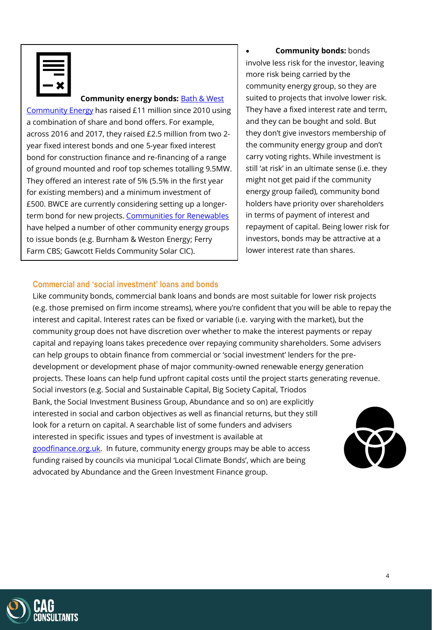#### **Community energy bonds: Bath & West**

[Community Energy](https://www.bwce.coop/) has raised £11 million since 2010 using a combination of share and bond offers. For example, across 2016 and 2017, they raised £2.5 million from two 2 year fixed interest bonds and one 5-year fixed interest bond for construction finance and re-financing of a range of ground mounted and roof top schemes totalling 9.5MW. They offered an interest rate of 5% (5.5% in the first year for existing members) and a minimum investment of £500. BWCE are currently considering setting up a longer-term bond for new projects. [Communities for Renewables](http://www.cfrcic.co.uk/) have helped a number of other community energy groups to issue bonds (e.g. Burnham & Weston Energy; Ferry Farm CBS; Gawcott Fields Community Solar CIC).

• **Community bonds:** bonds involve less risk for the investor, leaving more risk being carried by the community energy group, so they are suited to projects that involve lower risk. They have a fixed interest rate and term, and they can be bought and sold. But they don't give investors membership of the community energy group and don't carry voting rights. While investment is still 'at risk' in an ultimate sense (i.e. they might not get paid if the community energy group failed), community bond holders have priority over shareholders in terms of payment of interest and repayment of capital. Being lower risk for investors, bonds may be attractive at a lower interest rate than shares.

#### **Commercial and 'social investment' loans and bonds**

Like community bonds, commercial bank loans and bonds are most suitable for lower risk projects (e.g. those premised on firm income streams), where you're confident that you will be able to repay the interest and capital. Interest rates can be fixed or variable (i.e. varying with the market), but the community group does not have discretion over whether to make the interest payments or repay capital and repaying loans takes precedence over repaying community shareholders. Some advisers can help groups to obtain finance from commercial or 'social investment' lenders for the predevelopment or development phase of major community-owned renewable energy generation projects. These loans can help fund upfront capital costs until the project starts generating revenue. Social investors (e.g. Social and Sustainable Capital, Big Society Capital, Triodos Bank, the Social Investment Business Group, Abundance and so on) are explicitly interested in social and carbon objectives as well as financial returns, but they still look for a return on capital. A searchable list of some funders and advisers interested in specific issues and types of investment is available at [goodfinance.org.uk.](https://www.goodfinance.org.uk/investors-advisors) In future, community energy groups may be able to access funding raised by councils via municipal 'Local Climate Bonds', which are being advocated by Abundance and the Green Investment Finance group.

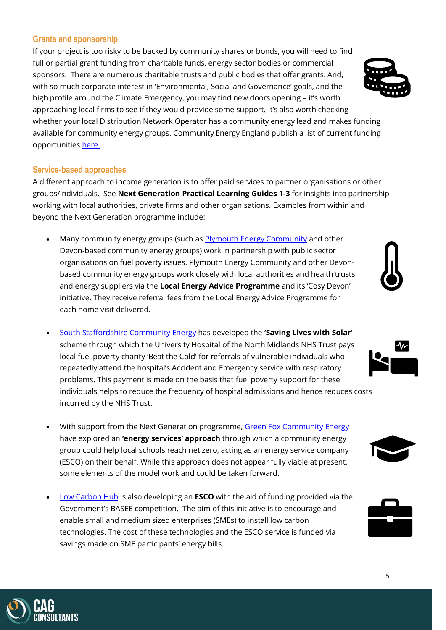#### **Grants and sponsorship**

If your project is too risky to be backed by community shares or bonds, you will need to find full or partial grant funding from charitable funds, energy sector bodies or commercial sponsors. There are numerous charitable trusts and public bodies that offer grants. And, with so much corporate interest in 'Environmental, Social and Governance' goals, and the high profile around the Climate Emergency, you may find new doors opening – it's worth approaching local firms to see if they would provide some support. It's also worth checking whether your local Distribution Network Operator has a community energy lead and makes funding available for community energy groups. Community Energy England publish a list of current funding opportunities [here.](https://communityenergyengland.org/pages/funding-opportunities-2) 

#### **Service-based approaches**

A different approach to income generation is to offer paid services to partner organisations or other groups/individuals. See **Next Generation Practical Learning Guides 1-3** for insights into partnership working with local authorities, private firms and other organisations. Examples from within and beyond the Next Generation programme include:

- Many community energy groups (such as **Plymouth Energy Community and other** Devon-based community energy groups) work in partnership with public sector organisations on fuel poverty issues. Plymouth Energy Community and other Devonbased community energy groups work closely with local authorities and health trusts and energy suppliers via the **Local Energy Advice Programme** and its 'Cosy Devon' initiative. They receive referral fees from the Local Energy Advice Programme for each home visit delivered.
- [South Staffordshire Community Energy](https://ssce.co.uk/) has developed the **'Saving Lives with Solar'** scheme through which the University Hospital of the North Midlands NHS Trust pays local fuel poverty charity 'Beat the Cold' for referrals of vulnerable individuals who repeatedly attend the hospital's Accident and Emergency service with respiratory problems. This payment is made on the basis that fuel poverty support for these individuals helps to reduce the frequency of hospital admissions and hence reduces costs incurred by the NHS Trust.
- With support from the Next Generation programme[, Green Fox Community Energy](https://greenfoxcommunityenergy.coop/) have explored an **'energy services' approach** through which a community energy group could help local schools reach net zero, acting as an energy service company (ESCO) on their behalf. While this approach does not appear fully viable at present, some elements of the model work and could be taken forward.
- [Low Carbon Hub](https://www.lowcarbonhub.org/) is also developing an **ESCO** with the aid of funding provided via the Government's BASEE competition. The aim of this initiative is to encourage and enable small and medium sized enterprises (SMEs) to install low carbon technologies. The cost of these technologies and the ESCO service is funded via savings made on SME participants' energy bills.